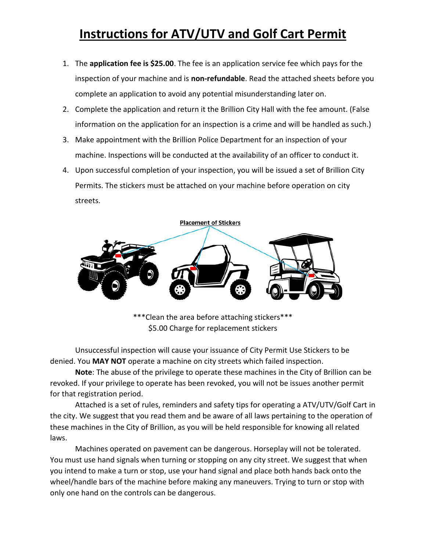# **Instructions for ATV/UTV and Golf Cart Permit**

- 1. The **application fee is \$25.00**. The fee is an application service fee which pays for the inspection of your machine and is **non-refundable**. Read the attached sheets before you complete an application to avoid any potential misunderstanding later on.
- 2. Complete the application and return it the Brillion City Hall with the fee amount. (False information on the application for an inspection is a crime and will be handled as such.)
- 3. Make appointment with the Brillion Police Department for an inspection of your machine. Inspections will be conducted at the availability of an officer to conduct it.
- 4. Upon successful completion of your inspection, you will be issued a set of Brillion City Permits. The stickers must be attached on your machine before operation on city streets.



\*\*\*Clean the area before attaching stickers\*\*\* \$5.00 Charge for replacement stickers

Unsuccessful inspection will cause your issuance of City Permit Use Stickers to be denied. You **MAY NOT** operate a machine on city streets which failed inspection.

**Note**: The abuse of the privilege to operate these machines in the City of Brillion can be revoked. If your privilege to operate has been revoked, you will not be issues another permit for that registration period.

Attached is a set of rules, reminders and safety tips for operating a ATV/UTV/Golf Cart in the city. We suggest that you read them and be aware of all laws pertaining to the operation of these machines in the City of Brillion, as you will be held responsible for knowing all related laws.

Machines operated on pavement can be dangerous. Horseplay will not be tolerated. You must use hand signals when turning or stopping on any city street. We suggest that when you intend to make a turn or stop, use your hand signal and place both hands back onto the wheel/handle bars of the machine before making any maneuvers. Trying to turn or stop with only one hand on the controls can be dangerous.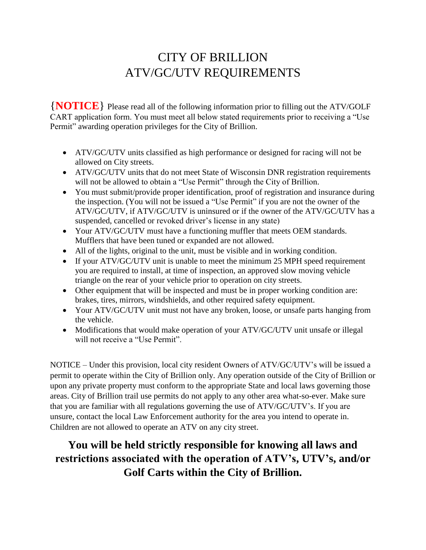# CITY OF BRILLION ATV/GC/UTV REQUIREMENTS

{**NOTICE**} Please read all of the following information prior to filling out the ATV/GOLF CART application form. You must meet all below stated requirements prior to receiving a "Use Permit" awarding operation privileges for the City of Brillion.

- ATV/GC/UTV units classified as high performance or designed for racing will not be allowed on City streets.
- ATV/GC/UTV units that do not meet State of Wisconsin DNR registration requirements will not be allowed to obtain a "Use Permit" through the City of Brillion.
- You must submit/provide proper identification, proof of registration and insurance during the inspection. (You will not be issued a "Use Permit" if you are not the owner of the ATV/GC/UTV, if ATV/GC/UTV is uninsured or if the owner of the ATV/GC/UTV has a suspended, cancelled or revoked driver's license in any state)
- Your ATV/GC/UTV must have a functioning muffler that meets OEM standards. Mufflers that have been tuned or expanded are not allowed.
- All of the lights, original to the unit, must be visible and in working condition.
- If your ATV/GC/UTV unit is unable to meet the minimum 25 MPH speed requirement you are required to install, at time of inspection, an approved slow moving vehicle triangle on the rear of your vehicle prior to operation on city streets.
- Other equipment that will be inspected and must be in proper working condition are: brakes, tires, mirrors, windshields, and other required safety equipment.
- Your ATV/GC/UTV unit must not have any broken, loose, or unsafe parts hanging from the vehicle.
- Modifications that would make operation of your ATV/GC/UTV unit unsafe or illegal will not receive a "Use Permit".

NOTICE – Under this provision, local city resident Owners of ATV/GC/UTV's will be issued a permit to operate within the City of Brillion only. Any operation outside of the City of Brillion or upon any private property must conform to the appropriate State and local laws governing those areas. City of Brillion trail use permits do not apply to any other area what-so-ever. Make sure that you are familiar with all regulations governing the use of ATV/GC/UTV's. If you are unsure, contact the local Law Enforcement authority for the area you intend to operate in. Children are not allowed to operate an ATV on any city street.

## **You will be held strictly responsible for knowing all laws and restrictions associated with the operation of ATV's, UTV's, and/or Golf Carts within the City of Brillion.**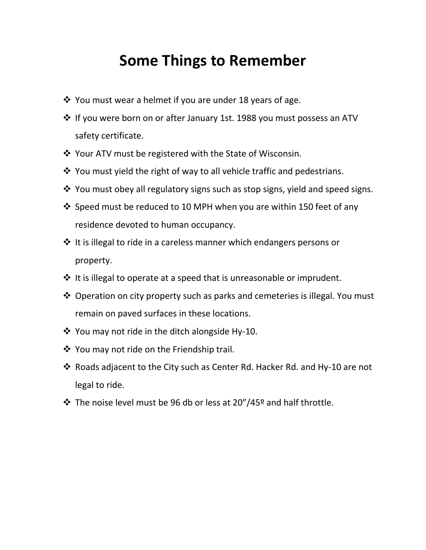# **Some Things to Remember**

- $\cdot$  You must wear a helmet if you are under 18 years of age.
- If you were born on or after January 1st. 1988 you must possess an ATV safety certificate.
- ❖ Your ATV must be registered with the State of Wisconsin.
- You must yield the right of way to all vehicle traffic and pedestrians.
- \* You must obey all regulatory signs such as stop signs, yield and speed signs.
- Speed must be reduced to 10 MPH when you are within 150 feet of any residence devoted to human occupancy.
- ❖ It is illegal to ride in a careless manner which endangers persons or property.
- $\cdot$  It is illegal to operate at a speed that is unreasonable or imprudent.
- ❖ Operation on city property such as parks and cemeteries is illegal. You must remain on paved surfaces in these locations.
- $\cdot$  You may not ride in the ditch alongside Hy-10.
- ❖ You may not ride on the Friendship trail.
- Roads adjacent to the City such as Center Rd. Hacker Rd. and Hy-10 are not legal to ride.
- The noise level must be 96 db or less at 20"/45º and half throttle.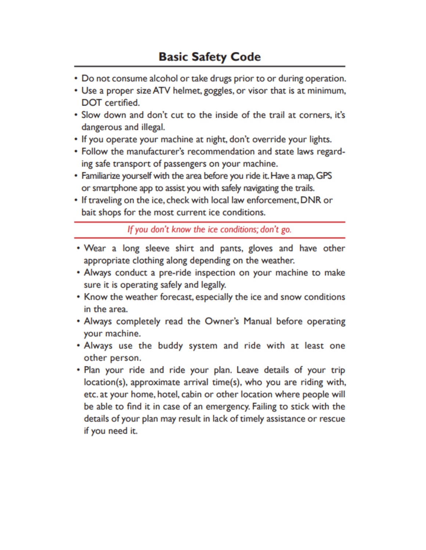- Do not consume alcohol or take drugs prior to or during operation.
- Use a proper size ATV helmet, goggles, or visor that is at minimum, **DOT** certified.
- . Slow down and don't cut to the inside of the trail at corners, it's dangerous and illegal.
- If you operate your machine at night, don't override your lights.
- Follow the manufacturer's recommendation and state laws regarding safe transport of passengers on your machine.
- Familiarize yourself with the area before you ride it. Have a map, GPS or smartphone app to assist you with safely navigating the trails.
- If traveling on the ice, check with local law enforcement, DNR or bait shops for the most current ice conditions.

If you don't know the ice conditions; don't go.

- Wear a long sleeve shirt and pants, gloves and have other appropriate clothing along depending on the weather.
- Always conduct a pre-ride inspection on your machine to make sure it is operating safely and legally.
- Know the weather forecast, especially the ice and snow conditions in the area.
- Always completely read the Owner's Manual before operating your machine.
- Always use the buddy system and ride with at least one other person.
- Plan your ride and ride your plan. Leave details of your trip location(s), approximate arrival time(s), who you are riding with, etc. at your home, hotel, cabin or other location where people will be able to find it in case of an emergency. Failing to stick with the details of your plan may result in lack of timely assistance or rescue if you need it.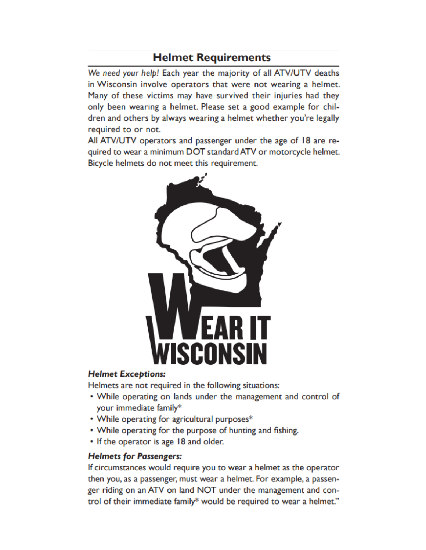### **Helmet Requirements**

We need your help! Each year the majority of all ATV/UTV deaths in Wisconsin involve operators that were not wearing a helmet. Many of these victims may have survived their injuries had they only been wearing a helmet. Please set a good example for children and others by always wearing a helmet whether you're legally required to or not.

All ATV/UTV operators and passenger under the age of 18 are required to wear a minimum DOT standard ATV or motorcycle helmet. Bicycle helmets do not meet this requirement.



#### **Helmet Exceptions:**

Helmets are not required in the following situations:

- While operating on lands under the management and control of your immediate family\*
- While operating for agricultural purposes\*
- While operating for the purpose of hunting and fishing.
- If the operator is age 18 and older.

### **Helmets for Passengers:**

If circumstances would require you to wear a helmet as the operator then you, as a passenger, must wear a helmet. For example, a passenger riding on an ATV on land NOT under the management and control of their immediate family\* would be required to wear a helmet."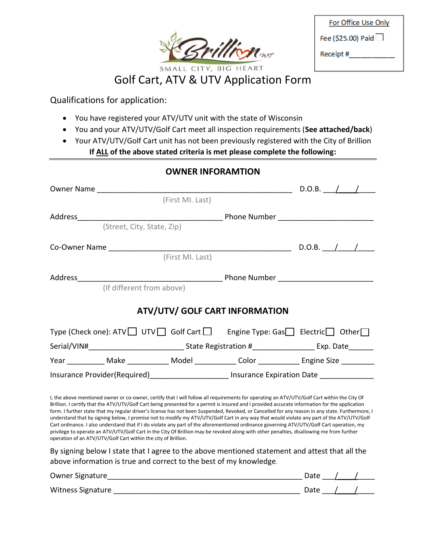

Golf Cart, ATV & UTV Application Form

Qualifications for application:

operation of an ATV/UTV/Golf Cart within the city of Brillion.

- You have registered your ATV/UTV unit with the state of Wisconsin
- You and your ATV/UTV/Golf Cart meet all inspection requirements (**See attached/back**)
- Your ATV/UTV/Golf Cart unit has not been previously registered with the City of Brillion **If ALL of the above stated criteria is met please complete the following:**

|                                                                                                     |                            | <b>OWNER INFORAMTION</b> |                                                                                                                                                                                                                                                                                                                                                                                                                                                                                                                                                                                                |  |  |  |
|-----------------------------------------------------------------------------------------------------|----------------------------|--------------------------|------------------------------------------------------------------------------------------------------------------------------------------------------------------------------------------------------------------------------------------------------------------------------------------------------------------------------------------------------------------------------------------------------------------------------------------------------------------------------------------------------------------------------------------------------------------------------------------------|--|--|--|
| Owner Name ______________________                                                                   |                            |                          | $\frac{1}{2}$ D.O.B. $\frac{1}{2}$                                                                                                                                                                                                                                                                                                                                                                                                                                                                                                                                                             |  |  |  |
|                                                                                                     |                            | (First MI. Last)         |                                                                                                                                                                                                                                                                                                                                                                                                                                                                                                                                                                                                |  |  |  |
| Address_________________________                                                                    |                            |                          |                                                                                                                                                                                                                                                                                                                                                                                                                                                                                                                                                                                                |  |  |  |
|                                                                                                     | (Street, City, State, Zip) |                          |                                                                                                                                                                                                                                                                                                                                                                                                                                                                                                                                                                                                |  |  |  |
|                                                                                                     |                            |                          |                                                                                                                                                                                                                                                                                                                                                                                                                                                                                                                                                                                                |  |  |  |
|                                                                                                     |                            | (First MI. Last)         |                                                                                                                                                                                                                                                                                                                                                                                                                                                                                                                                                                                                |  |  |  |
|                                                                                                     |                            |                          |                                                                                                                                                                                                                                                                                                                                                                                                                                                                                                                                                                                                |  |  |  |
|                                                                                                     | (If different from above)  |                          |                                                                                                                                                                                                                                                                                                                                                                                                                                                                                                                                                                                                |  |  |  |
|                                                                                                     |                            |                          | <b>ATV/UTV/ GOLF CART INFORMATION</b>                                                                                                                                                                                                                                                                                                                                                                                                                                                                                                                                                          |  |  |  |
|                                                                                                     |                            |                          | Type (Check one): ATV $\Box$ UTV $\Box$ Golf Cart $\Box$ Engine Type: Gas $\Box$ Electric $\Box$ Other $\Box$                                                                                                                                                                                                                                                                                                                                                                                                                                                                                  |  |  |  |
| Serial/VIN#______________________________State Registration #____________________ Exp. Date________ |                            |                          |                                                                                                                                                                                                                                                                                                                                                                                                                                                                                                                                                                                                |  |  |  |
|                                                                                                     |                            |                          | Year ____________ Make _____________ Model _____________ Color _____________ Engine Size __________                                                                                                                                                                                                                                                                                                                                                                                                                                                                                            |  |  |  |
| Insurance Provider(Required)________________________ Insurance Expiration Date ______________       |                            |                          |                                                                                                                                                                                                                                                                                                                                                                                                                                                                                                                                                                                                |  |  |  |
|                                                                                                     |                            |                          | I, the above mentioned owner or co-owner, certify that I will follow all requirements for operating an ATV/UTV/Golf Cart within the City Of<br>Brillion. I certify that the ATV/UTV/Golf Cart being presented for a permit is insured and I provided accurate information for the application<br>form. I further state that my regular driver's license has not been Suspended, Revoked, or Cancelled for any reason in any state. Furthermore, I<br>understand that by signing below, I promise not to modify my ATV/UTV/Golf Cart in any way that would violate any part of the ATV/UTV/Golf |  |  |  |

By signing below I state that I agree to the above mentioned statement and attest that all the above information is true and correct to the best of my knowledge.

Cart ordinance. I also understand that if I do violate any part of the aforementioned ordinance governing ATV/UTV/Golf Cart operation, my privilege to operate an ATV/UTV/Golf Cart in the City Of Brillion may be revoked along with other penalties, disallowing me from further

| Owner Signature   | Date |  |
|-------------------|------|--|
| Witness Signature | Date |  |